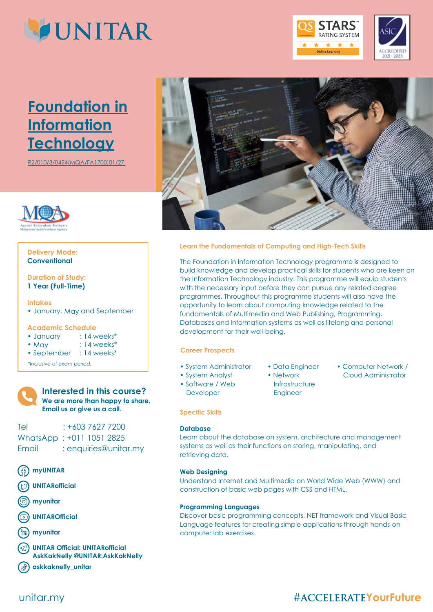

# **Foundation in Information Technology**

R2/010/3/0424(MQA/FA1700)01/27



## **Conventional Delivery Mode:**

## **1 Year (Full-Time) Duration of Study:**

### **Intakes**

• January, May and September

## **Academic Schedule**

| • January | $: 14$ weeks $*$ |
|-----------|------------------|
|           |                  |

- May  $: 14$  weeks\*
- September : 14 weeks\*

*\*Inclusive of exam period.*



## **Interested in this course? We are more than happy to share. Email us or give us a call.**

## Tel : +603 7627 7200 WhatsApp : +011 1051 2825 Email : enquiries@unitar.my

- **myUNITAR**
- **UNITARofficial**
- **myunitar**
- **UNITAROfficial**
- **myunitar**
- **UNITAR Official: UNITARofficial AskKakNelly @UNITAR:AskKakNelly**
- **askkaknelly\_unitar**



**RATING SYSTEM**  $\overline{\phantom{a}}$ ★.

2021 - 2023

## **Learn the Fundamentals of Computing and High-Tech Skills**

The Foundation in Information Technology programme is designed to build knowledge and develop practical skills for students who are keen on the Information Technology industry. This programme will equip students with the necessary input before they can pursue any related degree programmes. Throughout this programme students will also have the opportunity to learn about computing knowledge related to the fundamentals of Multimedia and Web Publishing, Programming, Databases and Information systems as well as lifelong and personal development for their well-being.

## **Career Prospects**

- System Administrator
- System Analyst
- Software / Web Developer
- Data Engineer
- Network **Infrastructure** Engineer
- Computer Network / Cloud Administrator

## **Specific Skills**

## **Database**

Learn about the database on system, architecture and management systems as well as their functions on storing, manipulating, and retrieving data.

## **Web Designing**

Understand Internet and Multimedia on World Wide Web (WWW) and construction of basic web pages with CSS and HTML.

### **Programming Languages**

Discover basic programming concepts, NET framework and Visual Basic Language features for creating simple applications through hands-on computer lab exercises.

## unitar.my

# **#ACCELERATEYourFuture**